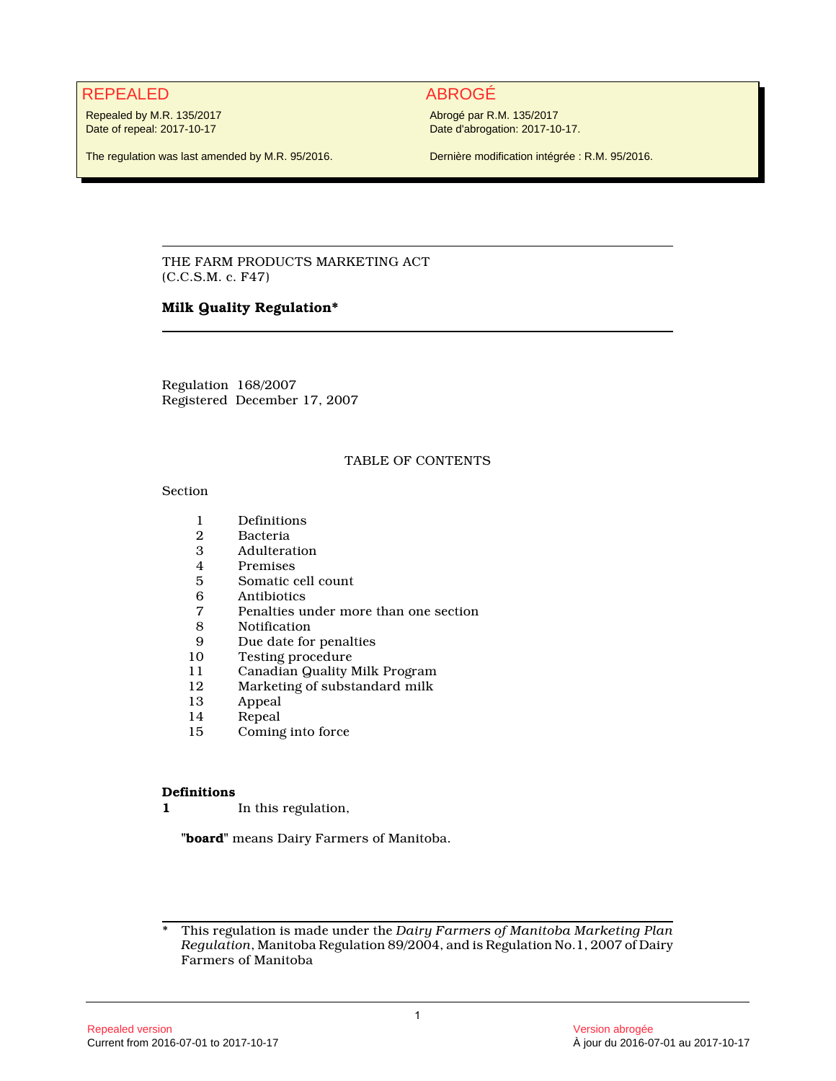# REPEALED ABROGÉ

Repealed by M.R. 135/2017 Date of repeal: 2017-10-17

The regulation was last amended by M.R. 95/2016.

Abrogé par R.M. 135/2017 Date d'abrogation: 2017-10-17.

Dernière modification intégrée : R.M. 95/2016.

THE FARM PRODUCTS MARKETING ACT (C.C.S.M. c. F47)

# **Milk Quality Regulation\***

Regulation 168/2007 Registered December 17, 2007

## TABLE OF CONTENTS

#### Section

- 1 Definitions<br>2 Bacteria
- 
- 2 Bacteria **Adulteration**
- 4 Premises<br>5 Somatic c
- 5 Somatic cell count<br>6 Antibiotics
- 6 Antibiotics
- 7 Penalties under more than one section
- **Notification**
- 9 Due date for penalties<br>10 Testing procedure
- 10 Testing procedure<br>11 Canadian Quality I
- 11 Canadian Quality Milk Program<br>12 Marketing of substandard milk
- 12 Marketing of substandard milk<br>13 Appeal
- 13 Appeal<br>14 Repeal
- **Repeal**
- 15 Coming into force

#### **Definitions**

**1** In this regulation,

**"board"** means Dairy Farmers of Manitoba.

<sup>\*</sup> This regulation is made under the *Dairy Farmers of Manitoba Marketing Plan Regulation*, Manitoba Regulation 89/2004, and is Regulation No.1, 2007 of Dairy Farmers of Manitoba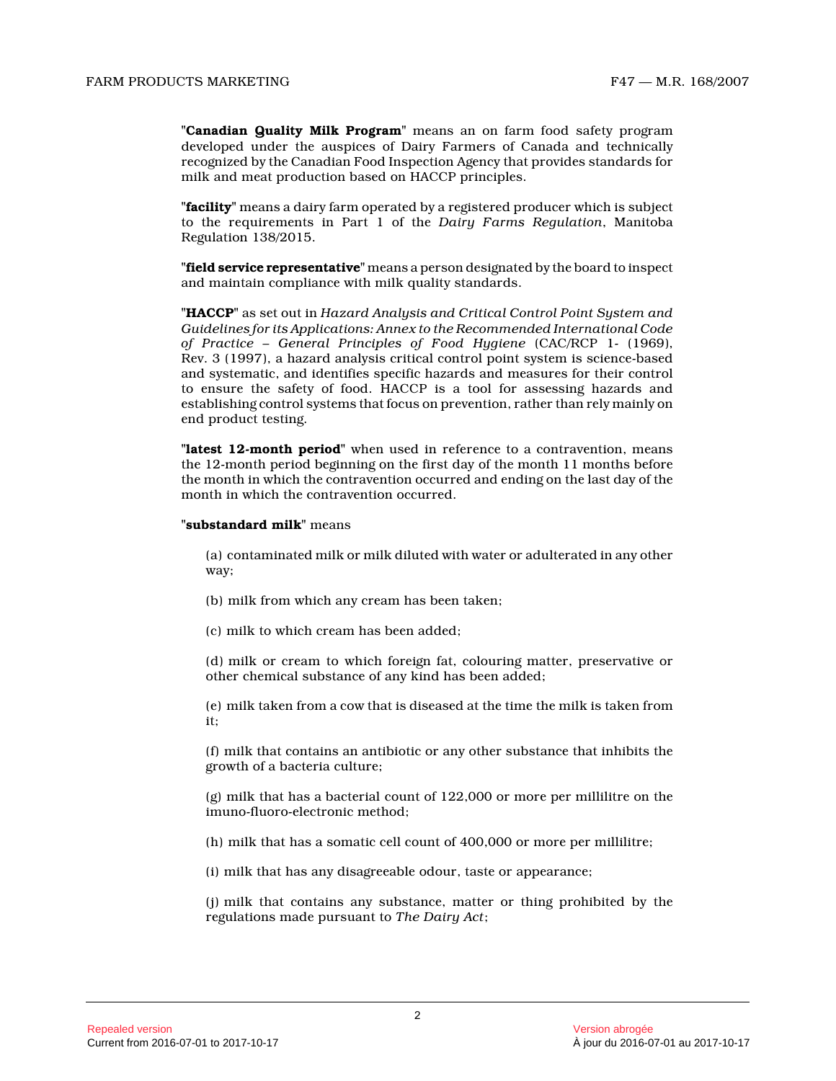**"Canadian Quality Milk Program"** means an on farm food safety program developed under the auspices of Dairy Farmers of Canada and technically recognized by the Canadian Food Inspection Agency that provides standards for milk and meat production based on HACCP principles.

**"facility"** means a dairy farm operated by a registered producer which is subject to the requirements in Part 1 of the *Dairy Farms Regulation*, Manitoba Regulation 138/2015.

**"field service representative"** means a person designated by the board to inspect and maintain compliance with milk quality standards .

**"HACCP"** as set out in *Hazard Analysis and Critical Control Point System and Guidelines for its Applications: Annex to the Recommended International Code of Practice – General Principles of Food Hygiene* (CAC/RCP 1- (1969), Rev. 3 (1997), a hazard analysis critical control point system is science-based and systematic, and identifies specific hazards and measures for their control to ensure the safety of food. HACCP is a tool for assessing hazards and establishing control systems that focus on prevention, rather than rely mainly on end product testing.

**"latest 12-month period"** when used in reference to a contravention, means the 12-month period beginning on the first day of the month 11 months before the month in which the contravention occurred and ending on the last day of the month in which the contravention occurred.

#### **"substandard milk"** means

(a) contaminated milk or milk diluted with water or adulterated in any other way;

- (b) milk from which any cream has been taken;
- (c) milk to which cream has been added;

(d) milk or cream to which foreign fat, colouring matter, preservative or other chemical substance of any kind has been added ;

(e) milk taken from a cow that is diseased at the time the milk is taken from it;

(f) milk that contains an antibiotic or any other substance that inhibits the growth of a bacteria culture;

(g) milk that has a bacterial count of 122,000 or more per millilitre on the imuno-fluoro-electronic method;

(h) milk that has a somatic cell count of 400,000 or more per millilitre;

(i) milk that has any disagreeable odour, taste or appearance;

(j) milk that contains any substance, matter or thing prohibited by the regulations made pursuant to *The Dairy Act* ;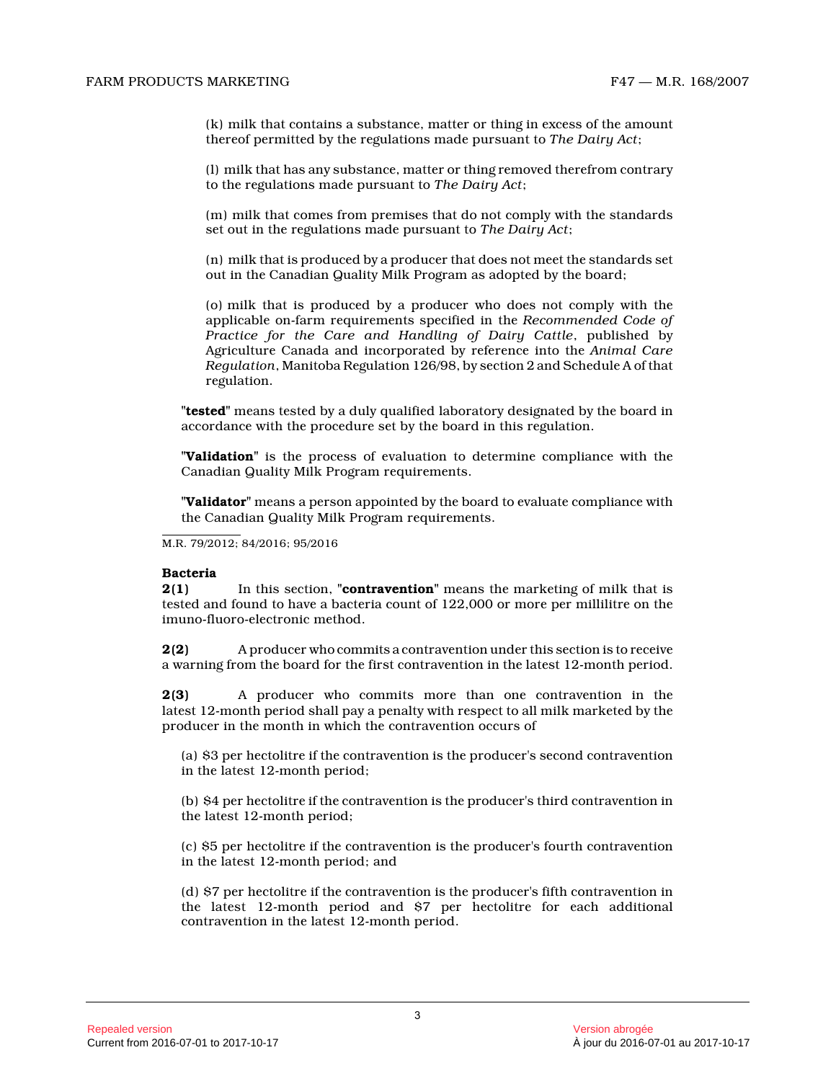(k) milk that contains a substance, matter or thing in excess of the amount thereof permitted by the regulations made pursuant to *The Dairy Act* ;

(l) milk that has any substance, matter or thing removed therefrom contrary to the regulations made pursuant to *The Dairy Act* ;

(m) milk that comes from premises that do not comply with the standards set out in the regulations made pursuant to *The Dairy Act* ;

(n) milk that is produced by a producer that does not meet the standards set out in the Canadian Quality Milk Program as adopted by the board;

(o) milk that is produced by a producer who does not comply with the applicable on-farm requirements specified in the *Recommended Code of Practice for the Care and Handling of Dairy Cattle*, published by Agriculture Canada and incorporated by reference into the *Animal Care Regulation*, Manitoba Regulation 126/98, by section 2 and Schedule A of that regulation.

**"tested"** means tested by a duly qualified laboratory designated by the board in accordance with the procedure set by the board in this regulation.

**"Validation"** is the process of evaluation to determine compliance with the Canadian Quality Milk Program requirements.

**"Validator"** means a person appointed by the board to evaluate compliance with the Canadian Quality Milk Program requirements.

M.R. 79/2012; 84/2016; 95/2016

#### **Bacteria**

**2(1)** In this section, **"contravention"** means the marketing of milk that is tested and found to have a bacteria count of 122,000 or more per millilitre on the imuno-fluoro-electronic method.

**2(2)** A producer who commits a contravention under this section is to receive a warning from the board for the first contravention in the latest 12-month period.

**2(3)** A producer who commits more than one contravention in the latest 12-month period shall pay a penalty with respect to all milk marketed by the producer in the month in which the contravention occurs of

(a) \$3 per hectolitre if the contravention is the producer's second contravention in the latest 12-month period;

(b) \$4 per hectolitre if the contravention is the producer's third contravention in the latest 12-month period;

(c) \$5 per hectolitre if the contravention is the producer's fourth contravention in the latest 12-month period; and

(d) \$7 per hectolitre if the contravention is the producer's fifth contravention in the latest 12-month period and \$7 per hectolitre for each additional contravention in the latest 12-month period.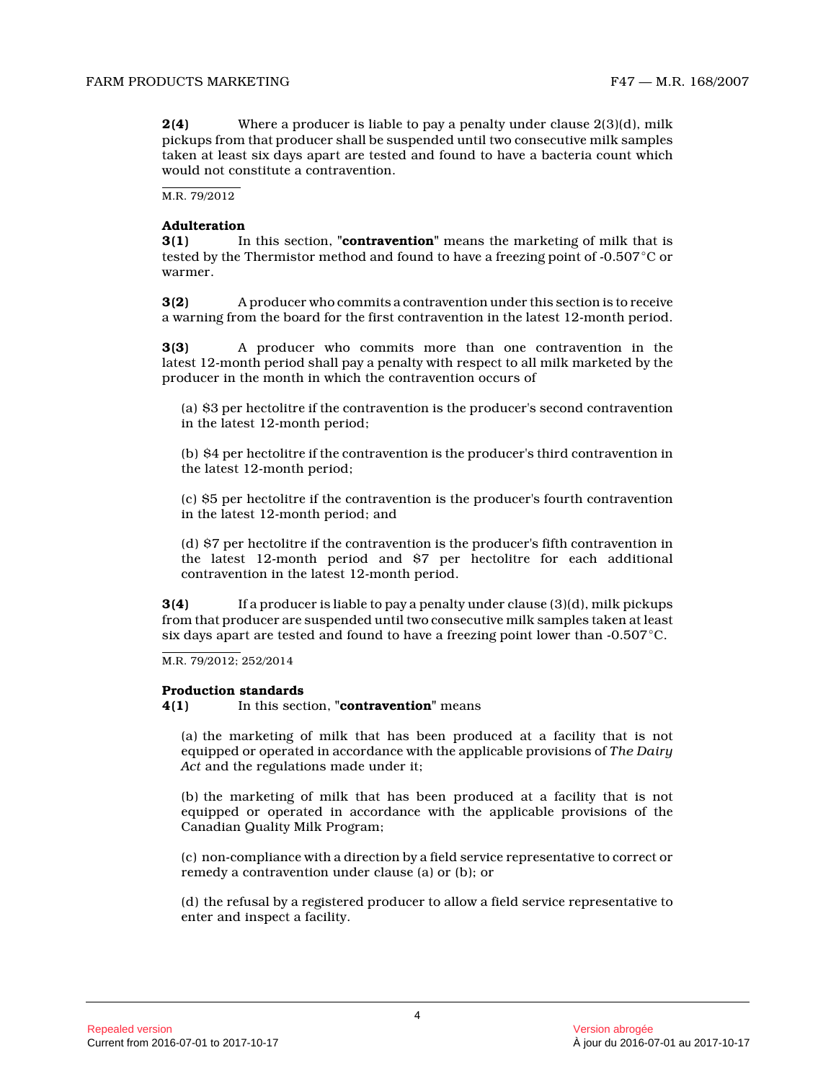**2(4)** Where a producer is liable to pay a penalty under clause 2(3)(d), milk pickups from that producer shall be suspended until two consecutive milk samples taken at least six days apart are tested and found to have a bacteria count which would not constitute a contravention.

M.R. 79/2012

#### **Adulteration**

**3(1)** In this section, **"contravention"** means the marketing of milk that is tested by the Thermistor method and found to have a freezing point of -0.507  $^{\circ}\mathrm{C}$  or warmer.

**3(2)** A producer who commits a contravention under this section is to receive a warning from the board for the first contravention in the latest 12-month period.

**3(3)** A producer who commits more than one contravention in the latest 12-month period shall pay a penalty with respect to all milk marketed by the producer in the month in which the contravention occurs of

(a) \$3 per hectolitre if the contravention is the producer's second contravention in the latest 12-month period;

(b) \$4 per hectolitre if the contravention is the producer's third contravention in the latest 12-month period;

(c) \$5 per hectolitre if the contravention is the producer's fourth contravention in the latest 12-month period; and

(d) \$7 per hectolitre if the contravention is the producer's fifth contravention in the latest 12-month period and \$7 per hectolitre for each additional contravention in the latest 12-month period.

**3(4)** If a producer is liable to pay a penalty under clause (3)(d), milk pickups from that producer are suspended until two consecutive milk samples taken at least six days apart are tested and found to have a freezing point lower than -0.507°C.

M.R. 79/2012; 252/2014

#### **Production standards**

## **4(1)** In this section, **"contravention"** means

(a) the marketing of milk that has been produced at a facility that is not equipped or operated in accordance with the applicable provisions of *The Dairy Act* and the regulations made under it;

(b) the marketing of milk that has been produced at a facility that is not equipped or operated in accordance with the applicable provisions of the Canadian Quality Milk Program;

(c) non-compliance with a direction by a field service representative to correct or remedy a contravention under clause (a) or (b); or

(d) the refusal by a registered producer to allow a field service representative to enter and inspect a facility.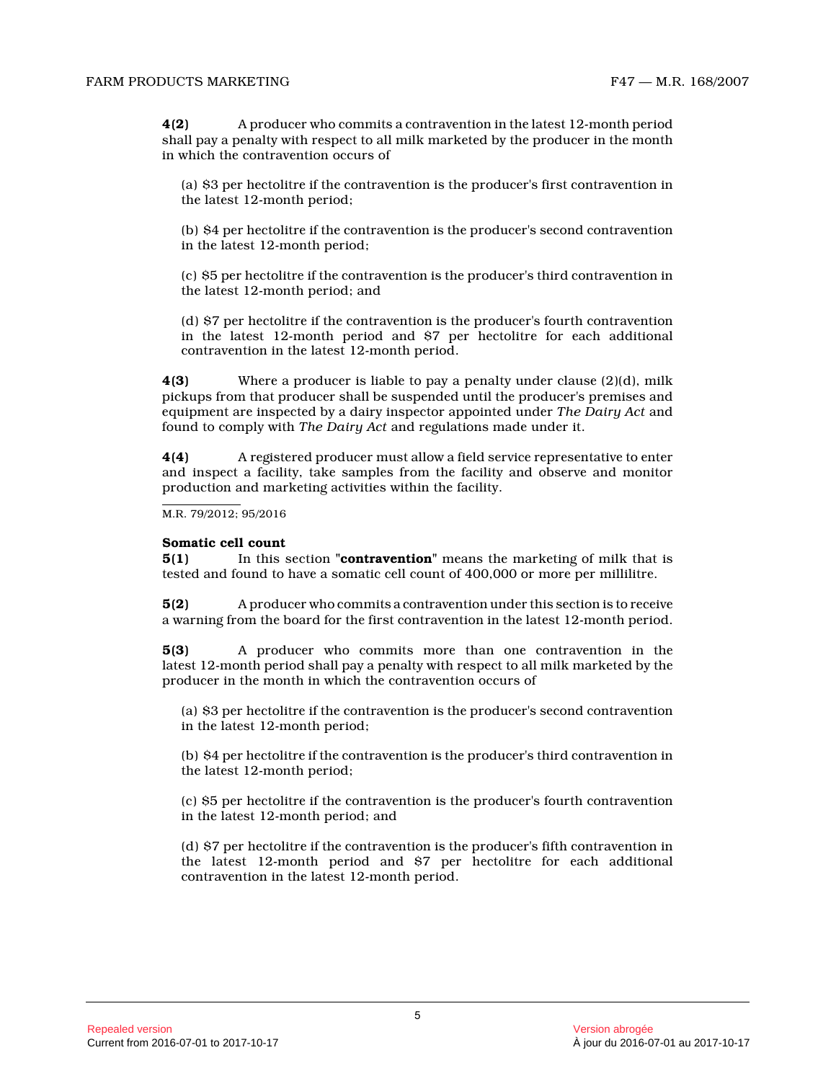**4(2)** A producer who commits a contravention in the latest 12-month period shall pay a penalty with respect to all milk marketed by the producer in the month in which the contravention occurs of

(a) \$3 per hectolitre if the contravention is the producer's first contravention in the latest 12-month period;

(b) \$4 per hectolitre if the contravention is the producer's second contravention in the latest 12-month period;

(c) \$5 per hectolitre if the contravention is the producer's third contravention in the latest 12-month period; and

(d) \$7 per hectolitre if the contravention is the producer's fourth contravention in the latest 12-month period and \$7 per hectolitre for each additional contravention in the latest 12-month period.

**4(3)** Where a producer is liable to pay a penalty under clause (2)(d), milk pickups from that producer shall be suspended until the producer's premises and equipment are inspected by a dairy inspector appointed under *The Dairy Act* and found to comply with *The Dairy Act* and regulations made under it.

**4(4)** A registered producer must allow a field service representative to enter and inspect a facility, take samples from the facility and observe and monitor production and marketing activities within the facility.

M.R. 79/2012; 95/2016

#### **Somatic cell count**

**5(1)** In this section **"contravention"** means the marketing of milk that is tested and found to have a somatic cell count of 400,000 or more per millilitre.

**5(2)** A producer who commits a contravention under this section is to receive a warning from the board for the first contravention in the latest 12-month period.

**5(3)** A producer who commits more than one contravention in the latest 12-month period shall pay a penalty with respect to all milk marketed by the producer in the month in which the contravention occurs of

(a) \$3 per hectolitre if the contravention is the producer's second contravention in the latest 12-month period;

(b) \$4 per hectolitre if the contravention is the producer's third contravention in the latest 12-month period;

(c) \$5 per hectolitre if the contravention is the producer's fourth contravention in the latest 12-month period; and

(d) \$7 per hectolitre if the contravention is the producer's fifth contravention in the latest 12-month period and \$7 per hectolitre for each additional contravention in the latest 12-month period.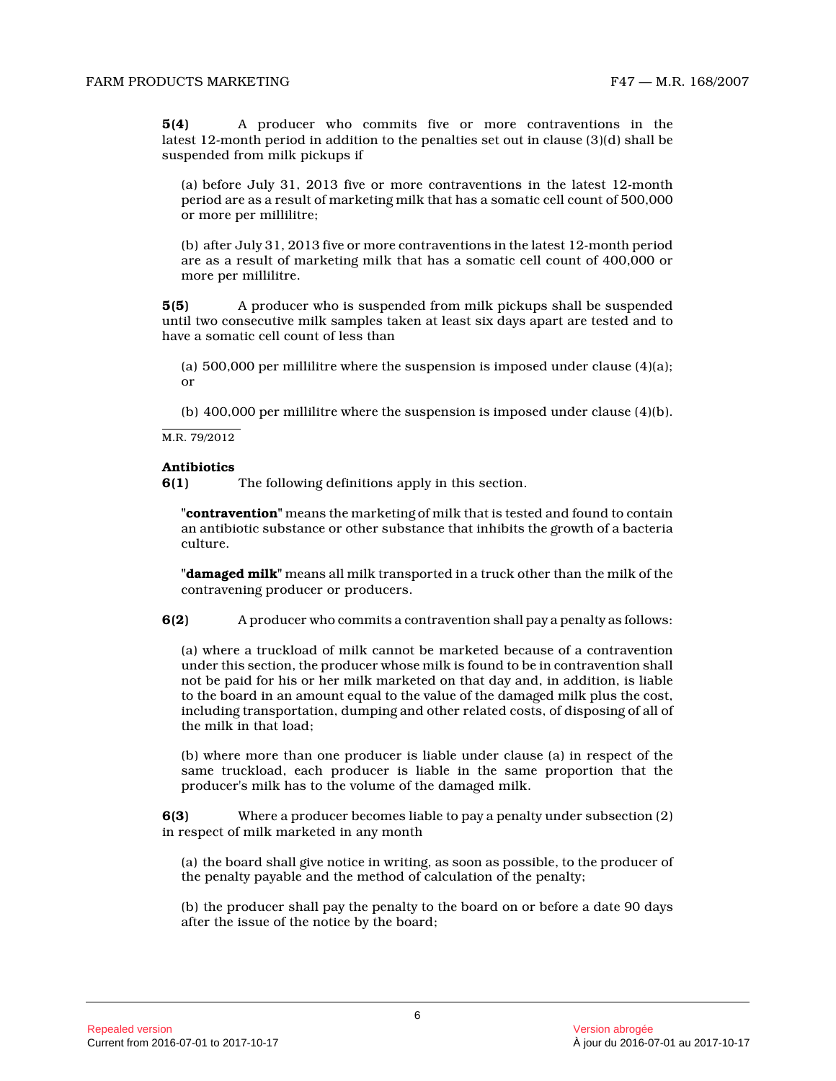**5(4)** A producer who commits five or more contraventions in the latest 12-month period in addition to the penalties set out in clause (3)(d) shall be suspended from milk pickups if

(a) before July 31, 2013 five or more contraventions in the latest 12-month period are as a result of marketing milk that has a somatic cell count of 500,000 or more per millilitre;

(b) after July 31, 2013 five or more contraventions in the latest 12-month period are as a result of marketing milk that has a somatic cell count of 400,000 or more per millilitre.

**5(5)** A producer who is suspended from milk pickups shall be suspended until two consecutive milk samples taken at least six days apart are tested and to have a somatic cell count of less than

(a) 500,000 per millilitre where the suspension is imposed under clause (4)(a); or

(b) 400,000 per millilitre where the suspension is imposed under clause (4)(b).

M.R. 79/2012

#### **Antibiotics**

**6(1)** The following definitions apply in this section.

**"contravention"** means the marketing of milk that is tested and found to contain an antibiotic substance or other substance that inhibits the growth of a bacteria culture.

**"damaged milk"** means all milk transported in a truck other than the milk of the contravening producer or producers.

**6(2)** A producer who commits a contravention shall pay a penalty as follows:

(a) where a truckload of milk cannot be marketed because of a contravention under this section, the producer whose milk is found to be in contravention shall not be paid for his or her milk marketed on that day and, in addition, is liable to the board in an amount equal to the value of the damaged milk plus the cost, including transportation, dumping and other related costs, of disposing of all of the milk in that load;

(b) where more than one producer is liable under clause (a) in respect of the same truckload, each producer is liable in the same proportion that the producer's milk has to the volume of the damaged milk.

**6(3)** Where a producer becomes liable to pay a penalty under subsection (2) in respect of milk marketed in any month

(a) the board shall give notice in writing, as soon as possible, to the producer of the penalty payable and the method of calculation of the penalty;

(b) the producer shall pay the penalty to the board on or before a date 90 days after the issue of the notice by the board;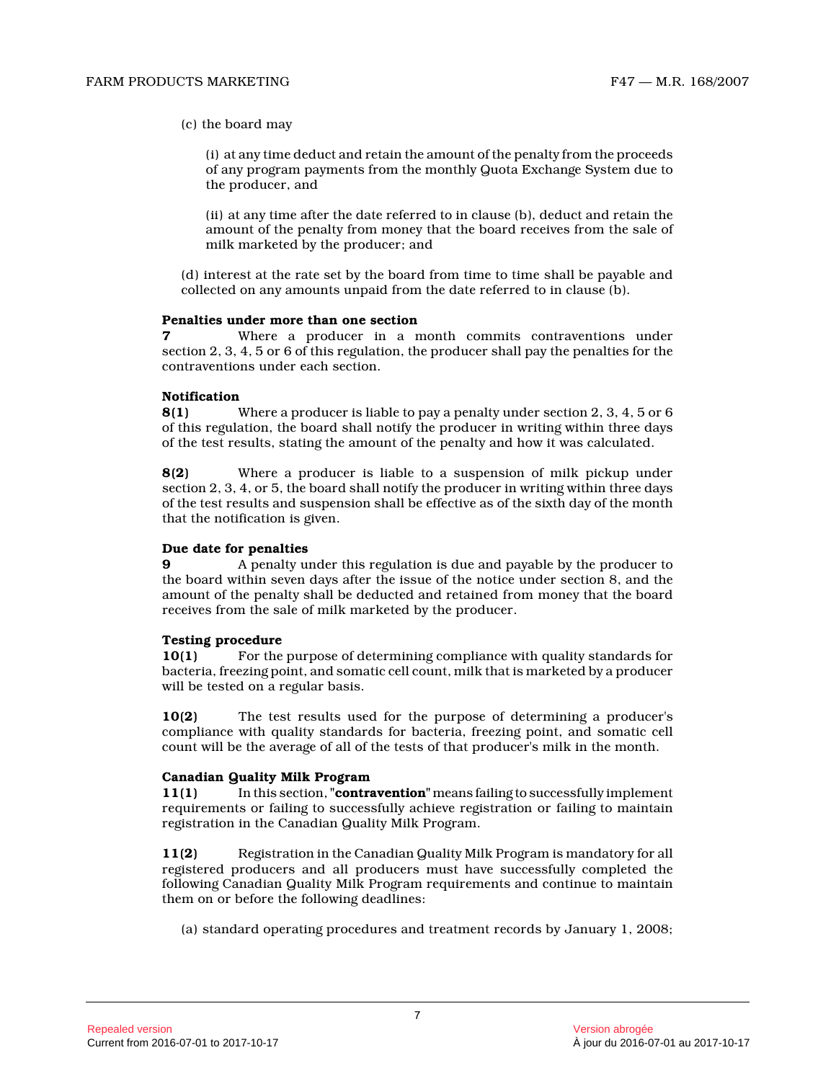(c) the board may

(i) at any time deduct and retain the amount of the penalty from the proceeds of any program payments from the monthly Quota Exchange System due to the producer, and

(ii) at any time after the date referred to in clause (b), deduct and retain the amount of the penalty from money that the board receives from the sale of milk marketed by the producer; and

(d) interest at the rate set by the board from time to time shall be payable and collected on any amounts unpaid from the date referred to in clause (b).

#### **Penalties under more than one section**

**7** Where a producer in a month commits contraventions under section 2, 3, 4, 5 or 6 of this regulation, the producer shall pay the penalties for the contraventions under each section.

# **Notification**<br>8(1)

**8(1)** Where a producer is liable to pay a penalty under section 2, 3, 4, 5 or 6 of this regulation, the board shall notify the producer in writing within three days of the test results, stating the amount of the penalty and how it was calculated.

**8(2)** Where a producer is liable to a suspension of milk pickup under section 2, 3, 4, or 5, the board shall notify the producer in writing within three days of the test results and suspension shall be effective as of the sixth day of the month that the notification is given.

### **Due date for penalties**

**9** A penalty under this regulation is due and payable by the producer to the board within seven days after the issue of the notice under section 8, and the amount of the penalty shall be deducted and retained from money that the board receives from the sale of milk marketed by the producer.

#### **Testing procedure**

**10(1)** For the purpose of determining compliance with quality standards for bacteria, freezing point, and somatic cell count, milk that is marketed by a producer will be tested on a regular basis.

**10(2)** The test results used for the purpose of determining a producer's compliance with quality standards for bacteria, freezing point, and somatic cell count will be the average of all of the tests of that producer's milk in the month.

#### **Canadian Quality Milk Program**

**11(1)** In this section, **"contravention"** means failing to successfully implement requirements or failing to successfully achieve registration or failing to maintain registration in the Canadian Quality Milk Program.

**11(2)** Registration in the Canadian Quality Milk Program is mandatory for all registered producers and all producers must have successfully completed the following Canadian Quality Milk Program requirements and continue to maintain them on or before the following deadlines:

(a) standard operating procedures and treatment records by January 1, 2008;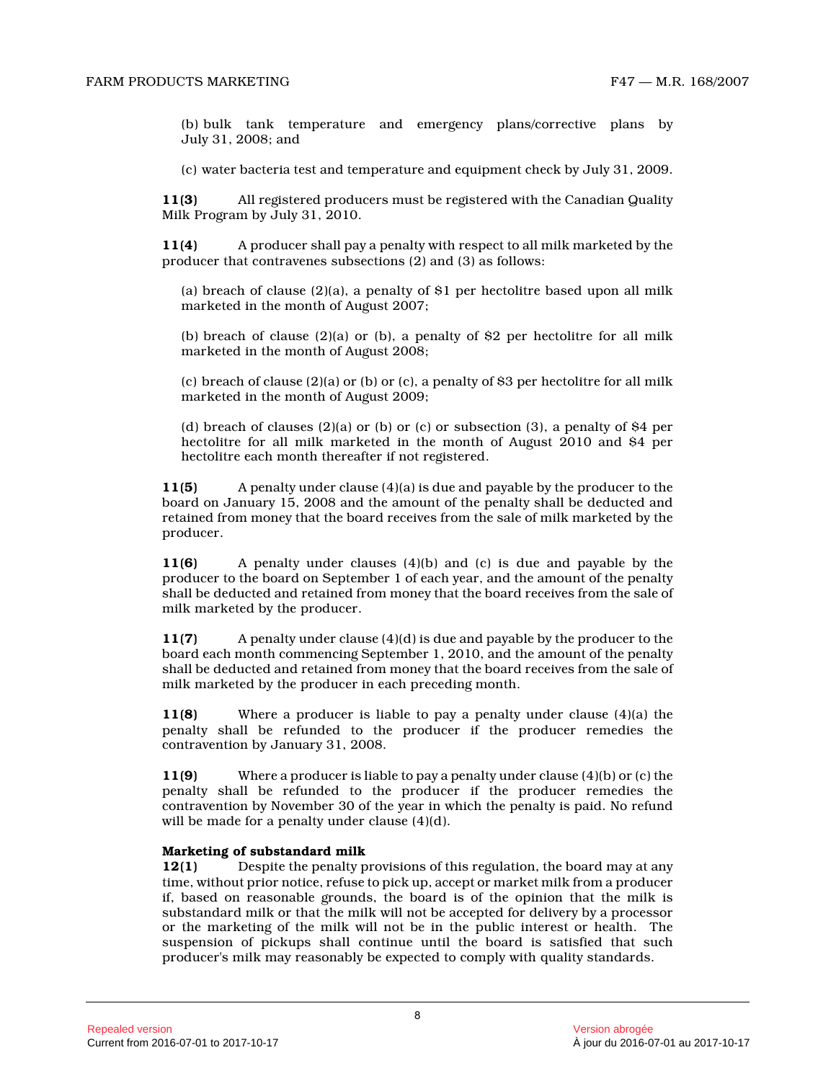(b) bulk tank temperature and emergency plans/corrective plans by July 31, 2008; and

(c) water bacteria test and temperature and equipment check by July 31, 2009.

**11(3)** All registered producers must be registered with the Canadian Quality Milk Program by July 31, 2010.

**11(4)** A producer shall pay a penalty with respect to all milk marketed by the producer that contravenes subsections (2) and (3) as follows:

(a) breach of clause  $(2)(a)$ , a penalty of \$1 per hectolitre based upon all milk marketed in the month of August 2007;

(b) breach of clause (2)(a) or (b), a penalty of \$2 per hectolitre for all milk marketed in the month of August 2008;

(c) breach of clause  $(2)(a)$  or (b) or (c), a penalty of \$3 per hectolitre for all milk marketed in the month of August 2009;

(d) breach of clauses (2)(a) or (b) or (c) or subsection (3), a penalty of \$4 per hectolitre for all milk marketed in the month of August 2010 and \$4 per hectolitre each month thereafter if not registered.

**11(5)** A penalty under clause (4)(a) is due and payable by the producer to the board on January 15, 2008 and the amount of the penalty shall be deducted and retained from money that the board receives from the sale of milk marketed by the producer.

**11(6)** A penalty under clauses (4)(b) and (c) is due and payable by the producer to the board on September 1 of each year, and the amount of the penalty shall be deducted and retained from money that the board receives from the sale of milk marketed by the producer.

**11(7)** A penalty under clause (4)(d) is due and payable by the producer to the board each month commencing September 1, 2010, and the amount of the penalty shall be deducted and retained from money that the board receives from the sale of milk marketed by the producer in each preceding month.

**11(8)** Where a producer is liable to pay a penalty under clause (4)(a) the penalty shall be refunded to the producer if the producer remedies the contravention by January 31, 2008.

**11(9)** Where a producer is liable to pay a penalty under clause (4)(b) or (c) the penalty shall be refunded to the producer if the producer remedies the contravention by November 30 of the year in which the penalty is paid. No refund will be made for a penalty under clause (4)(d).

#### **Marketing of substandard milk**

**12(1)** Despite the penalty provisions of this regulation, the board may at any time, without prior notice, refuse to pick up, accept or market milk from a producer if, based on reasonable grounds, the board is of the opinion that the milk is substandard milk or that the milk will not be accepted for delivery by a processor or the marketing of the milk will not be in the public interest or health. The suspension of pickups shall continue until the board is satisfied that such producer's milk may reasonably be expected to comply with quality standards.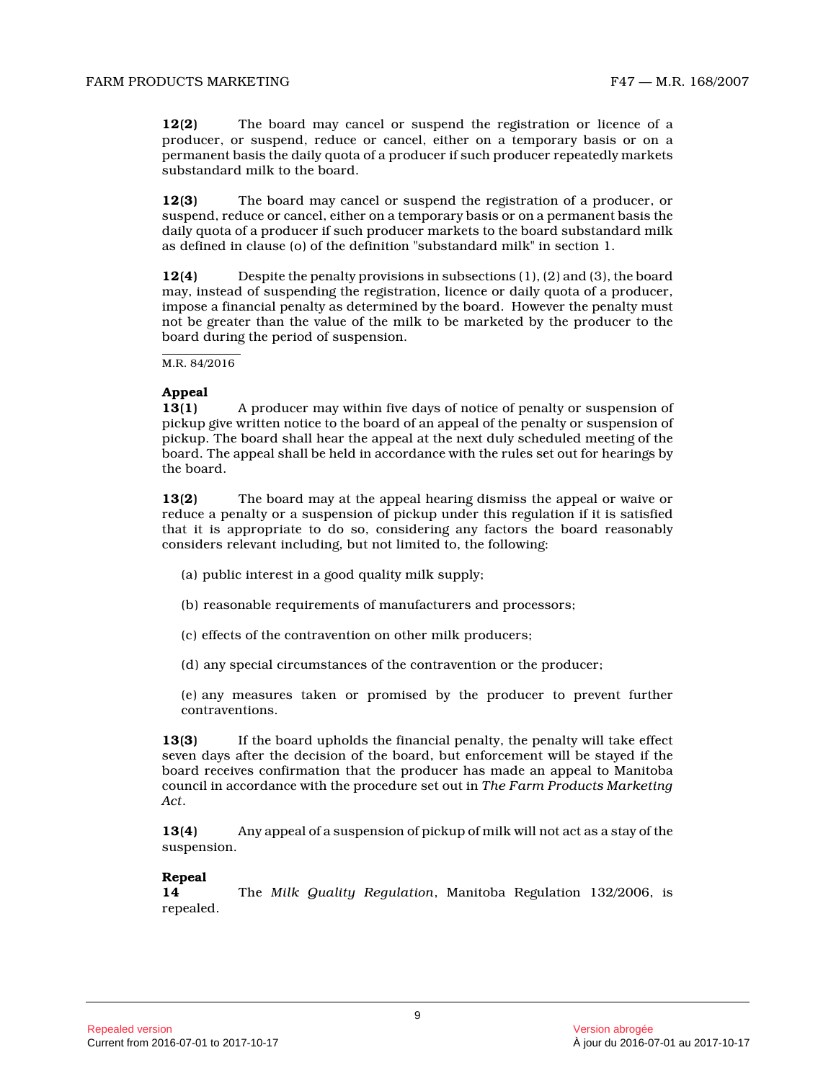**12(2)** The board may cancel or suspend the registration or licence of a producer, or suspend, reduce or cancel, either on a temporary basis or on a permanent basis the daily quota of a producer if such producer repeatedly markets substandard milk to the board.

**12(3)** The board may cancel or suspend the registration of a producer, or suspend, reduce or cancel, either on a temporary basis or on a permanent basis the daily quota of a producer if such producer markets to the board substandard milk as defined in clause (o) of the definition "substandard milk" in section 1.

**12(4)** Despite the penalty provisions in subsections (1), (2) and (3), the board may, instead of suspending the registration, licence or daily quota of a producer, impose a financial penalty as determined by the board. However the penalty must not be greater than the value of the milk to be marketed by the producer to the board during the period of suspension.

M.R. 84/2016

### **Appeal**

**13(1)** A producer may within five days of notice of penalty or suspension of pickup give written notice to the board of an appeal of the penalty or suspension of pickup. The board shall hear the appeal at the next duly scheduled meeting of the board. The appeal shall be held in accordance with the rules set out for hearings by the board.

**13(2)** The board may at the appeal hearing dismiss the appeal or waive or reduce a penalty or a suspension of pickup under this regulation if it is satisfied that it is appropriate to do so, considering any factors the board reasonably considers relevant including, but not limited to, the following:

- (a) public interest in a good quality milk supply;
- (b) reasonable requirements of manufacturers and processors;
- (c) effects of the contravention on other milk producers;
- (d) any special circumstances of the contravention or the producer;
- (e) any measures taken or promised by the producer to prevent further contraventions.

**13(3)** If the board upholds the financial penalty, the penalty will take effect seven days after the decision of the board, but enforcement will be stayed if the board receives confirmation that the producer has made an appeal to Manitoba council in accordance with the procedure set out in *The Farm Products Marketing Act* .

**13(4)** Any appeal of a suspension of pickup of milk will not act as a stay of the suspension.

## **Repeal**

**14** The *Milk Quality Regulation*, Manitoba Regulation 132/2006, is repealed.